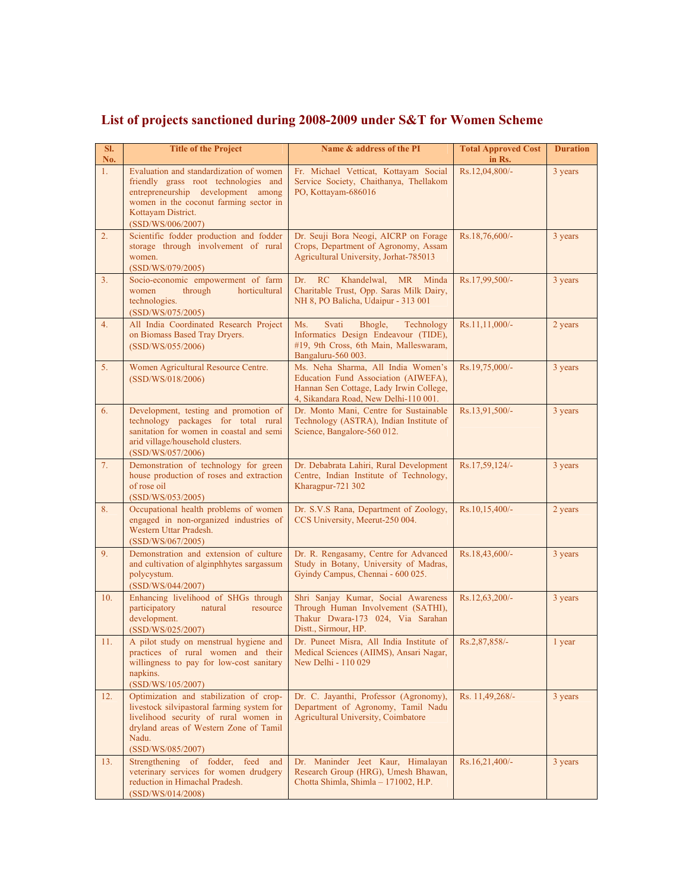## **List of projects sanctioned during 2008-2009 under S&T for Women Scheme**

| SI.<br>No.     | <b>Title of the Project</b>                                                                                                                                                                                | Name & address of the PI                                                                                                                                       | <b>Total Approved Cost</b><br>in Rs. | <b>Duration</b> |
|----------------|------------------------------------------------------------------------------------------------------------------------------------------------------------------------------------------------------------|----------------------------------------------------------------------------------------------------------------------------------------------------------------|--------------------------------------|-----------------|
| 1.             | Evaluation and standardization of women<br>friendly grass root technologies and<br>entrepreneurship development among<br>women in the coconut farming sector in<br>Kottavam District.<br>(SSD/WS/006/2007) | Fr. Michael Vetticat, Kottayam Social<br>Service Society, Chaithanya, Thellakom<br>PO, Kottayam-686016                                                         | Rs.12,04,800/-                       | 3 years         |
| 2.             | Scientific fodder production and fodder<br>storage through involvement of rural<br>women.<br>(SSD/WS/079/2005)                                                                                             | Dr. Seuji Bora Neogi, AICRP on Forage<br>Crops, Department of Agronomy, Assam<br>Agricultural University, Jorhat-785013                                        | Rs.18,76,600/-                       | 3 years         |
| 3.             | Socio-economic empowerment of farm<br>through<br>horticultural<br>women<br>technologies.<br>(SSD/WS/075/2005)                                                                                              | Khandelwal.<br>Dr.<br>RC<br><b>MR</b><br>Minda<br>Charitable Trust, Opp. Saras Milk Dairy,<br>NH 8, PO Balicha, Udaipur - 313 001                              | Rs.17,99,500/-                       | 3 years         |
| 4.             | All India Coordinated Research Project<br>on Biomass Based Tray Dryers.<br>(SSD/WS/055/2006)                                                                                                               | Ms.<br>Svati<br>Bhogle,<br>Technology<br>Informatics Design Endeavour (TIDE),<br>#19, 9th Cross, 6th Main, Malleswaram,<br>Bangaluru-560 003.                  | Rs.11,11,000/-                       | 2 years         |
| 5 <sub>1</sub> | Women Agricultural Resource Centre.<br>(SSD/WS/018/2006)                                                                                                                                                   | Ms. Neha Sharma, All India Women's<br>Education Fund Association (AIWEFA),<br>Hannan Sen Cottage, Lady Irwin College,<br>4, Sikandara Road, New Delhi-110 001. | Rs.19,75,000/-                       | 3 years         |
| 6.             | Development, testing and promotion of<br>technology packages for total rural<br>sanitation for women in coastal and semi<br>arid village/household clusters.<br>(SSD/WS/057/2006)                          | Dr. Monto Mani, Centre for Sustainable<br>Technology (ASTRA), Indian Institute of<br>Science, Bangalore-560 012.                                               | Rs.13,91,500/-                       | 3 years         |
| 7.             | Demonstration of technology for green<br>house production of roses and extraction<br>of rose oil<br>(SSD/WS/053/2005)                                                                                      | Dr. Debabrata Lahiri, Rural Development<br>Centre, Indian Institute of Technology,<br>Kharagpur-721 302                                                        | Rs.17,59,124/-                       | 3 years         |
| 8.             | Occupational health problems of women<br>engaged in non-organized industries of<br>Western Uttar Pradesh.<br>(SSD/WS/067/2005)                                                                             | Dr. S.V.S Rana, Department of Zoology,<br>CCS University, Meerut-250 004.                                                                                      | Rs.10,15,400/-                       | 2 years         |
| 9.             | Demonstration and extension of culture<br>and cultivation of alginphhytes sargassum<br>polycystum.<br>(SSD/WS/044/2007)                                                                                    | Dr. R. Rengasamy, Centre for Advanced<br>Study in Botany, University of Madras,<br>Gyindy Campus, Chennai - 600 025.                                           | Rs.18,43,600/-                       | 3 years         |
| 10.            | Enhancing livelihood of SHGs through<br>participatory<br>natural<br>resource<br>development.<br>(SSD/WS/025/2007)                                                                                          | Shri Sanjay Kumar, Social Awareness<br>Through Human Involvement (SATHI),<br>Thakur Dwara-173 024, Via Sarahan<br>Distt., Sirmour, HP.                         | Rs.12,63,200/-                       | 3 years         |
| 11.            | A pilot study on menstrual hygiene and<br>practices of rural women and their<br>willingness to pay for low-cost sanitary<br>napkins.<br>(SSD/WS/105/2007)                                                  | Dr. Puneet Misra, All India Institute of<br>Medical Sciences (AIIMS), Ansari Nagar,<br>New Delhi - 110 029                                                     | Rs.2,87,858/-                        | 1 year          |
| 12.            | Optimization and stabilization of crop-<br>livestock silvipastoral farming system for<br>livelihood security of rural women in<br>dryland areas of Western Zone of Tamil<br>Nadu.<br>(SSD/WS/085/2007)     | Dr. C. Jayanthi, Professor (Agronomy),<br>Department of Agronomy, Tamil Nadu<br>Agricultural University, Coimbatore                                            | Rs. 11,49,268/-                      | 3 years         |
| 13.            | Strengthening of fodder, feed and<br>veterinary services for women drudgery<br>reduction in Himachal Pradesh.<br>(SSD/WS/014/2008)                                                                         | Dr. Maninder Jeet Kaur, Himalayan<br>Research Group (HRG), Umesh Bhawan,<br>Chotta Shimla, Shimla - 171002, H.P.                                               | Rs.16,21,400/-                       | 3 years         |